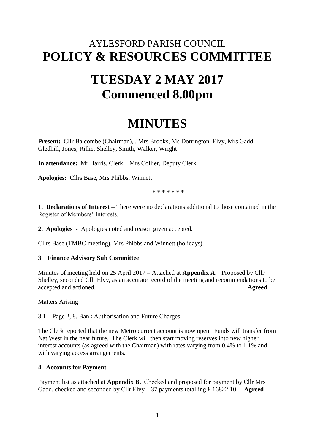# AYLESFORD PARISH COUNCIL **POLICY & RESOURCES COMMITTEE**

# **TUESDAY 2 MAY 2017 Commenced 8.00pm**

# **MINUTES**

Present: Cllr Balcombe (Chairman), , Mrs Brooks, Ms Dorrington, Elvy, Mrs Gadd, Gledhill, Jones, Rillie, Shelley, Smith, Walker, Wright

**In attendance:** Mr Harris, Clerk Mrs Collier, Deputy Clerk

**Apologies:** Cllrs Base, Mrs Phibbs, Winnett

\* \* \* \* \* \* \*

**1. Declarations of Interest –** There were no declarations additional to those contained in the Register of Members' Interests.

**2. Apologies -** Apologies noted and reason given accepted.

Cllrs Base (TMBC meeting), Mrs Phibbs and Winnett (holidays).

# **3**. **Finance Advisory Sub Committee**

Minutes of meeting held on 25 April 2017 – Attached at **Appendix A.** Proposed by Cllr Shelley, seconded Cllr Elvy, as an accurate record of the meeting and recommendations to be accepted and actioned. **Agreed**

Matters Arising

3.1 – Page 2, 8. Bank Authorisation and Future Charges.

The Clerk reported that the new Metro current account is now open. Funds will transfer from Nat West in the near future. The Clerk will then start moving reserves into new higher interest accounts (as agreed with the Chairman) with rates varying from 0.4% to 1.1% and with varying access arrangements.

#### **4**. **Accounts for Payment**

Payment list as attached at **Appendix B.** Checked and proposed for payment by Cllr Mrs Gadd, checked and seconded by Cllr Elvy – 37 payments totalling £ 16822.10. **Agreed**